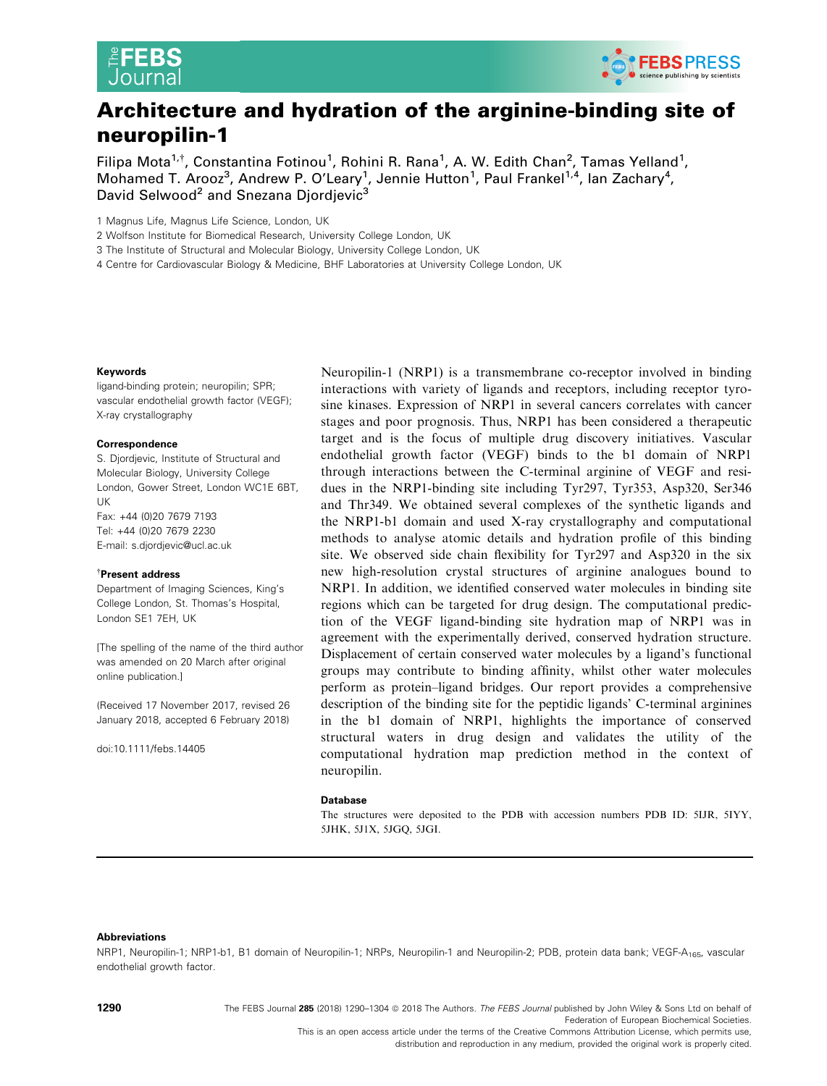



# Architecture and hydration of the arginine-binding site of neuropilin-1

Filipa Mota<sup>1,†</sup>, Constantina Fotinou<sup>1</sup>, Rohini R. Rana<sup>1</sup>, A. W. Edith Chan<sup>2</sup>, Tamas Yelland<sup>1</sup>, Mohamed T. Arooz<sup>3</sup>, Andrew P. O'Leary<sup>1</sup>, Jennie Hutton<sup>1</sup>, Paul Frankel<sup>1,4</sup>, Ian Zachary<sup>4</sup>, David Selwood<sup>2</sup> and Snezana Djordjevic<sup>3</sup>

1 Magnus Life, Magnus Life Science, London, UK

2 Wolfson Institute for Biomedical Research, University College London, UK

3 The Institute of Structural and Molecular Biology, University College London, UK

4 Centre for Cardiovascular Biology & Medicine, BHF Laboratories at University College London, UK

#### Keywords

ligand-binding protein; neuropilin; SPR; vascular endothelial growth factor (VEGF); X-ray crystallography

#### Correspondence

S. Djordjevic, Institute of Structural and Molecular Biology, University College London, Gower Street, London WC1E 6BT, UK Fax: +44 (0)20 7679 7193 Tel: +44 (0)20 7679 2230 E-mail: s.djordjevic@ucl.ac.uk

#### † Present address

Department of Imaging Sciences, King's College London, St. Thomas's Hospital, London SE1 7EH, UK

[The spelling of the name of the third author was amended on 20 March after original online publication.]

(Received 17 November 2017, revised 26 January 2018, accepted 6 February 2018)

doi:10.1111/febs.14405

Neuropilin-1 (NRP1) is a transmembrane co-receptor involved in binding interactions with variety of ligands and receptors, including receptor tyrosine kinases. Expression of NRP1 in several cancers correlates with cancer stages and poor prognosis. Thus, NRP1 has been considered a therapeutic target and is the focus of multiple drug discovery initiatives. Vascular endothelial growth factor (VEGF) binds to the b1 domain of NRP1 through interactions between the C-terminal arginine of VEGF and residues in the NRP1-binding site including Tyr297, Tyr353, Asp320, Ser346 and Thr349. We obtained several complexes of the synthetic ligands and the NRP1-b1 domain and used X-ray crystallography and computational methods to analyse atomic details and hydration profile of this binding site. We observed side chain flexibility for Tyr297 and Asp320 in the six new high-resolution crystal structures of arginine analogues bound to NRP1. In addition, we identified conserved water molecules in binding site regions which can be targeted for drug design. The computational prediction of the VEGF ligand-binding site hydration map of NRP1 was in agreement with the experimentally derived, conserved hydration structure. Displacement of certain conserved water molecules by a ligand's functional groups may contribute to binding affinity, whilst other water molecules perform as protein–ligand bridges. Our report provides a comprehensive description of the binding site for the peptidic ligands' C-terminal arginines in the b1 domain of NRP1, highlights the importance of conserved structural waters in drug design and validates the utility of the computational hydration map prediction method in the context of neuropilin.

#### Database

The structures were deposited to the PDB with accession numbers PDB ID: [5IJR](http://www.rcsb.org/pdb/search/structidSearch.do?structureId=5IJR), [5IYY](http://www.rcsb.org/pdb/search/structidSearch.do?structureId=5IYY), [5JHK](http://www.rcsb.org/pdb/search/structidSearch.do?structureId=5JHK), [5J1X,](http://www.rcsb.org/pdb/search/structidSearch.do?structureId=5J1X) [5JGQ,](http://www.rcsb.org/pdb/search/structidSearch.do?structureId=5JGQ) [5JGI](http://www.rcsb.org/pdb/search/structidSearch.do?structureId=5JGI).

## Abbreviations

NRP1, Neuropilin-1; NRP1-b1, B1 domain of Neuropilin-1; NRPs, Neuropilin-1 and Neuropilin-2; PDB, protein data bank; VEGF-A<sub>165</sub>, vascular endothelial growth factor.

1290 The FEBS Journal 285 (2018) 1290-1304 @ 2018 The Authors. The FEBS Journal published by John Wiley & Sons Ltd on behalf of Federation of European Biochemical Societies. This is an open access article under the terms of the [Creative Commons Attribution](http://creativecommons.org/licenses/by/4.0/) License, which permits use,

distribution and reproduction in any medium, provided the original work is properly cited.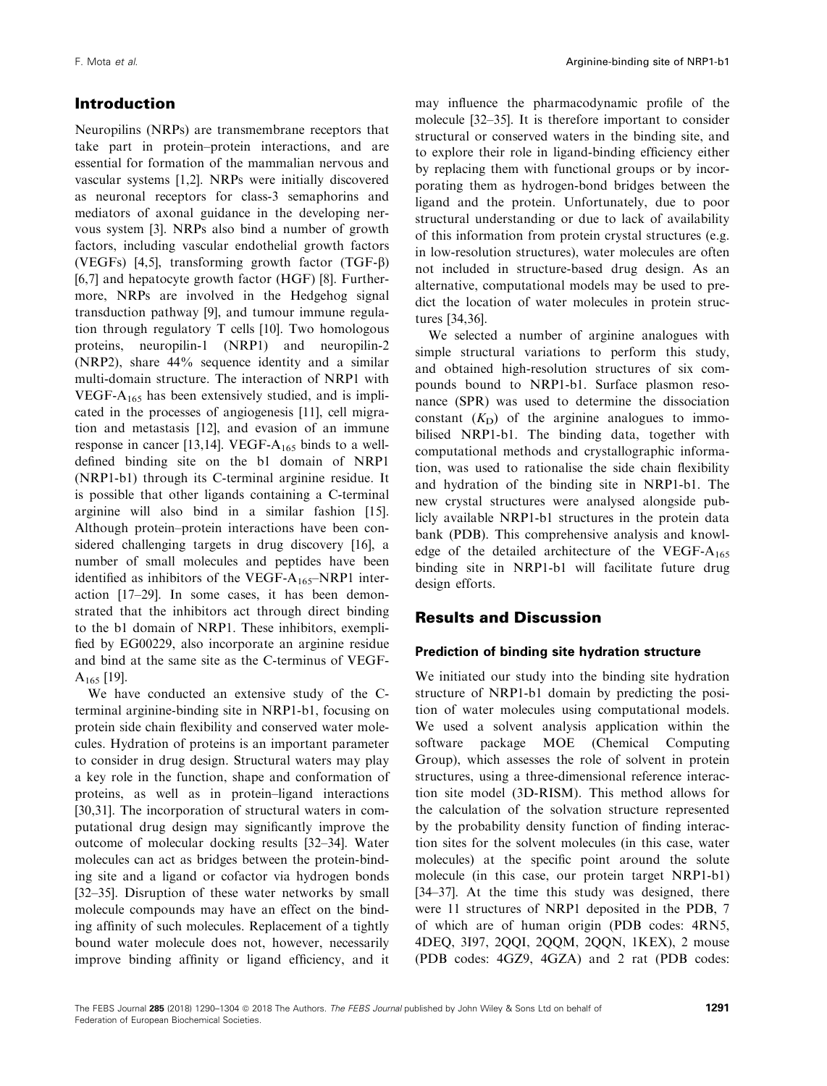# Introduction

Neuropilins (NRPs) are transmembrane receptors that take part in protein–protein interactions, and are essential for formation of the mammalian nervous and vascular systems [1,2]. NRPs were initially discovered as neuronal receptors for class-3 semaphorins and mediators of axonal guidance in the developing nervous system [3]. NRPs also bind a number of growth factors, including vascular endothelial growth factors (VEGFs) [4,5], transforming growth factor (TGF- $\beta$ ) [6,7] and hepatocyte growth factor (HGF) [8]. Furthermore, NRPs are involved in the Hedgehog signal transduction pathway [9], and tumour immune regulation through regulatory T cells [10]. Two homologous proteins, neuropilin-1 (NRP1) and neuropilin-2 (NRP2), share 44% sequence identity and a similar multi-domain structure. The interaction of NRP1 with VEGF- $A_{165}$  has been extensively studied, and is implicated in the processes of angiogenesis [11], cell migration and metastasis [12], and evasion of an immune response in cancer [13,14]. VEGF- $A_{165}$  binds to a welldefined binding site on the b1 domain of NRP1 (NRP1-b1) through its C-terminal arginine residue. It is possible that other ligands containing a C-terminal arginine will also bind in a similar fashion [15]. Although protein–protein interactions have been considered challenging targets in drug discovery [16], a number of small molecules and peptides have been identified as inhibitors of the VEGF- $A_{165}$ -NRP1 interaction [17–29]. In some cases, it has been demonstrated that the inhibitors act through direct binding to the b1 domain of NRP1. These inhibitors, exemplified by EG00229, also incorporate an arginine residue and bind at the same site as the C-terminus of VEGF- $A_{165}$  [19].

We have conducted an extensive study of the Cterminal arginine-binding site in NRP1-b1, focusing on protein side chain flexibility and conserved water molecules. Hydration of proteins is an important parameter to consider in drug design. Structural waters may play a key role in the function, shape and conformation of proteins, as well as in protein–ligand interactions [30,31]. The incorporation of structural waters in computational drug design may significantly improve the outcome of molecular docking results [32–34]. Water molecules can act as bridges between the protein-binding site and a ligand or cofactor via hydrogen bonds [32–35]. Disruption of these water networks by small molecule compounds may have an effect on the binding affinity of such molecules. Replacement of a tightly bound water molecule does not, however, necessarily improve binding affinity or ligand efficiency, and it may influence the pharmacodynamic profile of the molecule [32–35]. It is therefore important to consider structural or conserved waters in the binding site, and to explore their role in ligand-binding efficiency either by replacing them with functional groups or by incorporating them as hydrogen-bond bridges between the ligand and the protein. Unfortunately, due to poor structural understanding or due to lack of availability of this information from protein crystal structures (e.g. in low-resolution structures), water molecules are often not included in structure-based drug design. As an alternative, computational models may be used to predict the location of water molecules in protein structures [34,36].

We selected a number of arginine analogues with simple structural variations to perform this study, and obtained high-resolution structures of six compounds bound to NRP1-b1. Surface plasmon resonance (SPR) was used to determine the dissociation constant  $(K<sub>D</sub>)$  of the arginine analogues to immobilised NRP1-b1. The binding data, together with computational methods and crystallographic information, was used to rationalise the side chain flexibility and hydration of the binding site in NRP1-b1. The new crystal structures were analysed alongside publicly available NRP1-b1 structures in the protein data bank (PDB). This comprehensive analysis and knowledge of the detailed architecture of the VEGF- $A_{165}$ binding site in NRP1-b1 will facilitate future drug design efforts.

# Results and Discussion

## Prediction of binding site hydration structure

We initiated our study into the binding site hydration structure of NRP1-b1 domain by predicting the position of water molecules using computational models. We used a solvent analysis application within the software package MOE (Chemical Computing Group), which assesses the role of solvent in protein structures, using a three-dimensional reference interaction site model (3D-RISM). This method allows for the calculation of the solvation structure represented by the probability density function of finding interaction sites for the solvent molecules (in this case, water molecules) at the specific point around the solute molecule (in this case, our protein target NRP1-b1) [34–37]. At the time this study was designed, there were 11 structures of NRP1 deposited in the PDB, 7 of which are of human origin (PDB codes: [4RN5,](http://www.rcsb.org/pdb/search/structidSearch.do?structureId=4RN5) [4DEQ](http://www.rcsb.org/pdb/search/structidSearch.do?structureId=4DEQ), [3I97,](http://www.rcsb.org/pdb/search/structidSearch.do?structureId=3I97) [2QQI](http://www.rcsb.org/pdb/search/structidSearch.do?structureId=2QQI), [2QQM](http://www.rcsb.org/pdb/search/structidSearch.do?structureId=2QQM), [2QQN](http://www.rcsb.org/pdb/search/structidSearch.do?structureId=2QQN), [1KEX\)](http://www.rcsb.org/pdb/search/structidSearch.do?structureId=1KEX), 2 mouse (PDB codes: [4GZ9](http://www.rcsb.org/pdb/search/structidSearch.do?structureId=4GZ9), [4GZA\)](http://www.rcsb.org/pdb/search/structidSearch.do?structureId=4GZA) and 2 rat (PDB codes: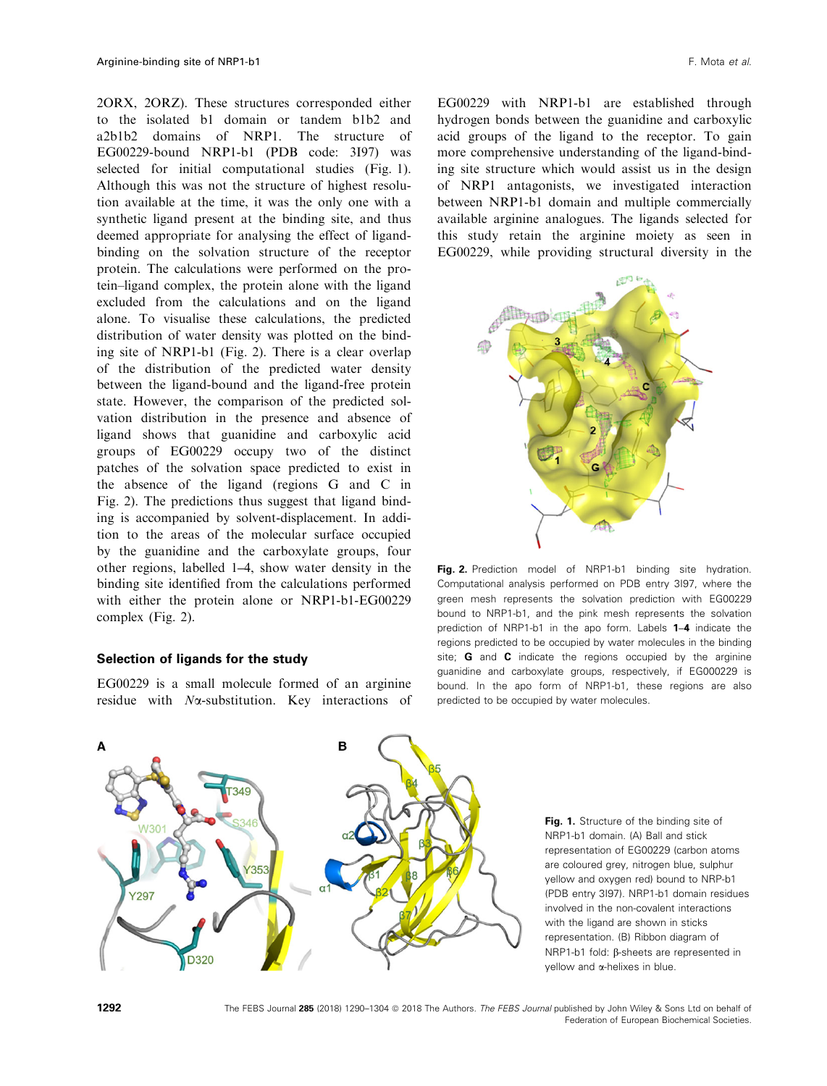[2ORX](http://www.rcsb.org/pdb/search/structidSearch.do?structureId=2ORX), [2ORZ\)](http://www.rcsb.org/pdb/search/structidSearch.do?structureId=2ORZ). These structures corresponded either to the isolated b1 domain or tandem b1b2 and a2b1b2 domains of NRP1. The structure of EG00229-bound NRP1-b1 (PDB code: [3I97\)](http://www.rcsb.org/pdb/search/structidSearch.do?structureId=3I97) was selected for initial computational studies (Fig. 1). Although this was not the structure of highest resolution available at the time, it was the only one with a synthetic ligand present at the binding site, and thus deemed appropriate for analysing the effect of ligandbinding on the solvation structure of the receptor protein. The calculations were performed on the protein–ligand complex, the protein alone with the ligand excluded from the calculations and on the ligand alone. To visualise these calculations, the predicted distribution of water density was plotted on the binding site of NRP1-b1 (Fig. 2). There is a clear overlap of the distribution of the predicted water density between the ligand-bound and the ligand-free protein state. However, the comparison of the predicted solvation distribution in the presence and absence of ligand shows that guanidine and carboxylic acid groups of EG00229 occupy two of the distinct patches of the solvation space predicted to exist in the absence of the ligand (regions G and C in Fig. 2). The predictions thus suggest that ligand binding is accompanied by solvent-displacement. In addition to the areas of the molecular surface occupied by the guanidine and the carboxylate groups, four other regions, labelled 1–4, show water density in the binding site identified from the calculations performed with either the protein alone or NRP1-b1-EG00229 complex (Fig. 2).

## Selection of ligands for the study

EG00229 is a small molecule formed of an arginine residue with  $N\alpha$ -substitution. Key interactions of

EG00229 with NRP1-b1 are established through hydrogen bonds between the guanidine and carboxylic acid groups of the ligand to the receptor. To gain more comprehensive understanding of the ligand-binding site structure which would assist us in the design of NRP1 antagonists, we investigated interaction between NRP1-b1 domain and multiple commercially available arginine analogues. The ligands selected for this study retain the arginine moiety as seen in EG00229, while providing structural diversity in the



Fig. 2. Prediction model of NRP1-b1 binding site hydration. Computational analysis performed on PDB entry [3I97](http://www.rcsb.org/pdb/search/structidSearch.do?structureId=3I97), where the green mesh represents the solvation prediction with EG00229 bound to NRP1-b1, and the pink mesh represents the solvation prediction of NRP1-b1 in the apo form. Labels 1–4 indicate the regions predicted to be occupied by water molecules in the binding site; **G** and **C** indicate the regions occupied by the arginine guanidine and carboxylate groups, respectively, if EG000229 is bound. In the apo form of NRP1-b1, these regions are also predicted to be occupied by water molecules.



Fig. 1. Structure of the binding site of NRP1-b1 domain. (A) Ball and stick representation of EG00229 (carbon atoms are coloured grey, nitrogen blue, sulphur yellow and oxygen red) bound to NRP-b1 (PDB entry [3I97](http://www.rcsb.org/pdb/search/structidSearch.do?structureId=3I97)). NRP1-b1 domain residues involved in the non-covalent interactions with the ligand are shown in sticks representation. (B) Ribbon diagram of NRP1-b1 fold: β-sheets are represented in yellow and a-helixes in blue.

1292 The FEBS Journal 285 (2018) 1290-1304 @ 2018 The Authors. The FEBS Journal published by John Wiley & Sons Ltd on behalf of Federation of European Biochemical Societies.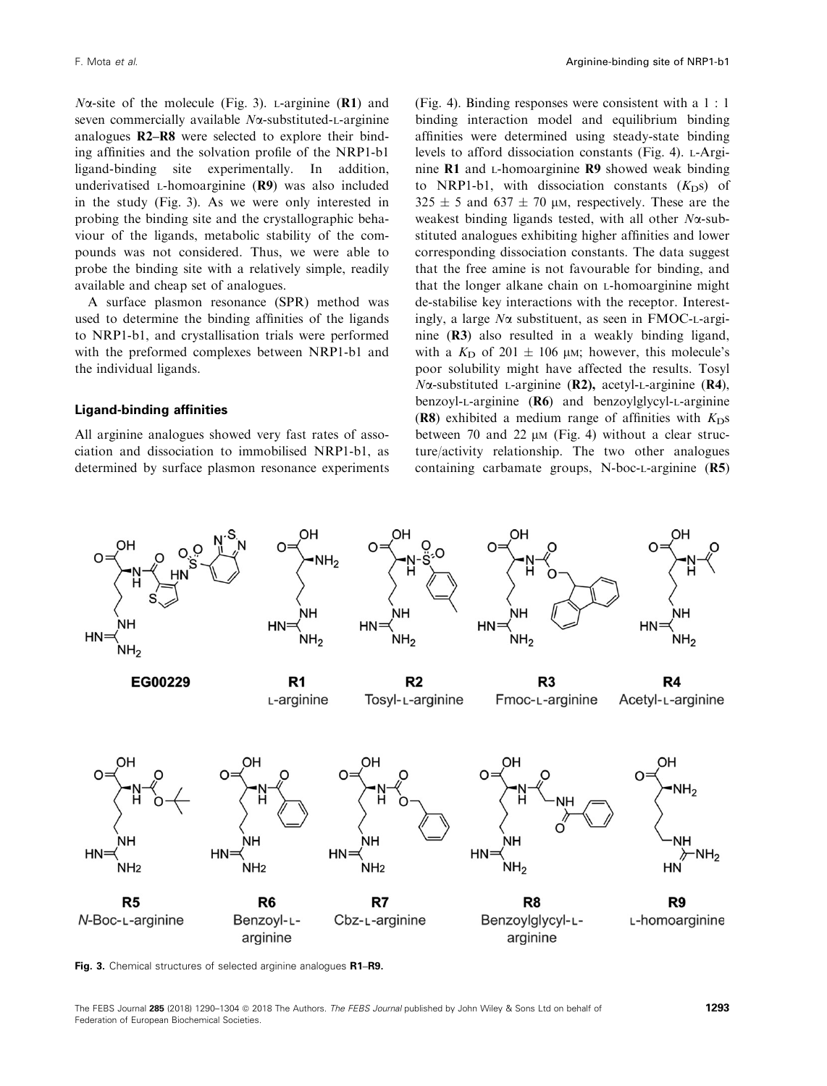$N\alpha$ -site of the molecule (Fig. 3). L-arginine (R1) and seven commercially available  $N\alpha$ -substituted-L-arginine analogues R2–R8 were selected to explore their binding affinities and the solvation profile of the NRP1-b1 ligand-binding site experimentally. In addition, underivatised L-homoarginine (R9) was also included in the study (Fig. 3). As we were only interested in probing the binding site and the crystallographic behaviour of the ligands, metabolic stability of the compounds was not considered. Thus, we were able to probe the binding site with a relatively simple, readily available and cheap set of analogues.

A surface plasmon resonance (SPR) method was used to determine the binding affinities of the ligands to NRP1-b1, and crystallisation trials were performed with the preformed complexes between NRP1-b1 and the individual ligands.

## Ligand-binding affinities

All arginine analogues showed very fast rates of association and dissociation to immobilised NRP1-b1, as determined by surface plasmon resonance experiments (Fig. 4). Binding responses were consistent with a 1 : 1 binding interaction model and equilibrium binding affinities were determined using steady-state binding levels to afford dissociation constants (Fig. 4). L-Arginine R1 and L-homoarginine R9 showed weak binding to NRP1-b1, with dissociation constants  $(K<sub>D</sub>s)$  of  $325 \pm 5$  and  $637 \pm 70$  µm, respectively. These are the weakest binding ligands tested, with all other  $N\alpha$ -substituted analogues exhibiting higher affinities and lower corresponding dissociation constants. The data suggest that the free amine is not favourable for binding, and that the longer alkane chain on L-homoarginine might de-stabilise key interactions with the receptor. Interestingly, a large  $N\alpha$  substituent, as seen in FMOC-L-arginine (R3) also resulted in a weakly binding ligand, with a  $K<sub>D</sub>$  of 201  $\pm$  106 µM; however, this molecule's poor solubility might have affected the results. Tosyl  $N\alpha$ -substituted L-arginine (R2), acetyl-L-arginine (R4), benzoyl-L-arginine (R6) and benzoylglycyl-L-arginine (R8) exhibited a medium range of affinities with  $K<sub>D</sub>$ s between 70 and 22  $\mu$ M (Fig. 4) without a clear structure/activity relationship. The two other analogues containing carbamate groups, N-boc-L-arginine (R5)



Fig. 3. Chemical structures of selected arginine analogues R1-R9.

The FEBS Journal 285 (2018) 1290-1304 @ 2018 The Authors. The FEBS Journal published by John Wiley & Sons Ltd on behalf of 1293 Federation of European Biochemical Societies.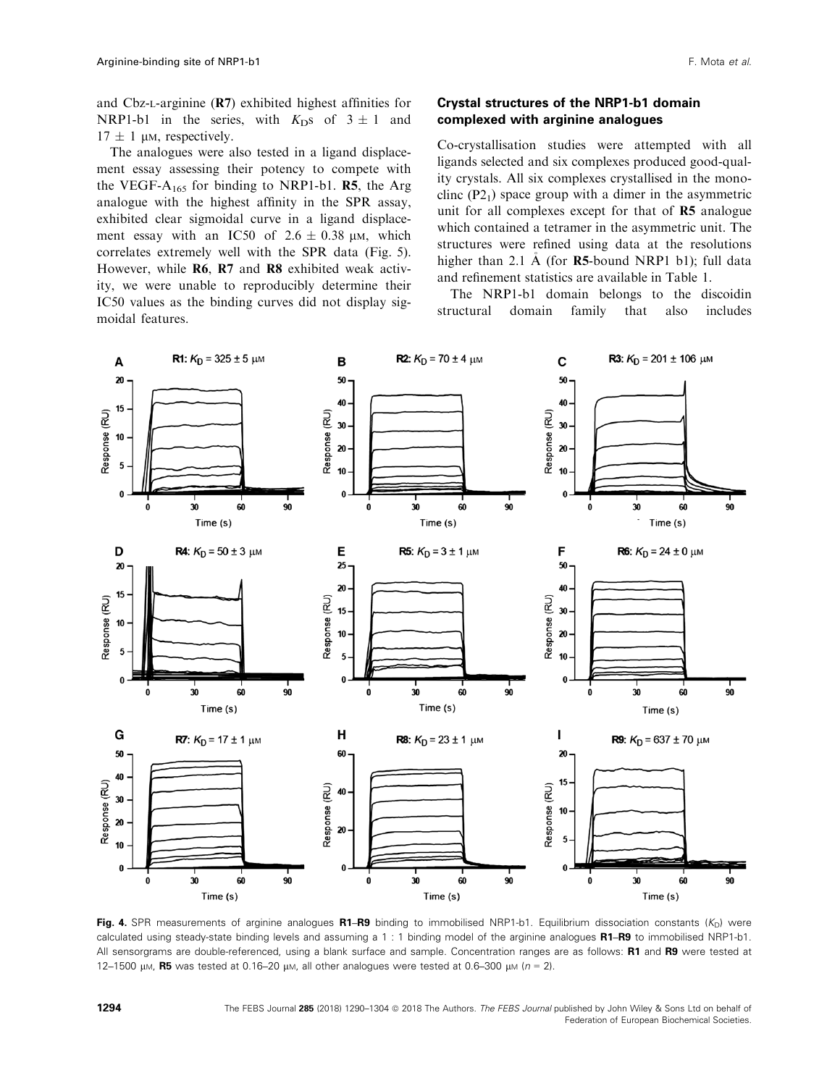and Cbz-L-arginine (R7) exhibited highest affinities for NRP1-b1 in the series, with  $K_{\text{D}}$ s of  $3 \pm 1$  and  $17 \pm 1$  µm, respectively.

The analogues were also tested in a ligand displacement essay assessing their potency to compete with the VEGF- $A_{165}$  for binding to NRP1-b1. R5, the Arg analogue with the highest affinity in the SPR assay, exhibited clear sigmoidal curve in a ligand displacement essay with an IC50 of  $2.6 \pm 0.38$  µm, which correlates extremely well with the SPR data (Fig. 5). However, while R6, R7 and R8 exhibited weak activity, we were unable to reproducibly determine their IC50 values as the binding curves did not display sigmoidal features.

## Crystal structures of the NRP1-b1 domain complexed with arginine analogues

Co-crystallisation studies were attempted with all ligands selected and six complexes produced good-quality crystals. All six complexes crystallised in the monoclinc  $(P2<sub>1</sub>)$  space group with a dimer in the asymmetric unit for all complexes except for that of  $R5$  analogue which contained a tetramer in the asymmetric unit. The structures were refined using data at the resolutions higher than 2.1  $\AA$  (for **R5**-bound NRP1 b1); full data and refinement statistics are available in Table 1.

The NRP1-b1 domain belongs to the discoidin structural domain family that also includes



Fig. 4. SPR measurements of arginine analogues R1–R9 binding to immobilised NRP1-b1. Equilibrium dissociation constants  $(K_D)$  were calculated using steady-state binding levels and assuming a 1 : 1 binding model of the arginine analogues R1–R9 to immobilised NRP1-b1. All sensorgrams are double-referenced, using a blank surface and sample. Concentration ranges are as follows: R1 and R9 were tested at 12–1500 µm, R5 was tested at 0.16–20 µm, all other analogues were tested at 0.6–300 µm ( $n = 2$ ).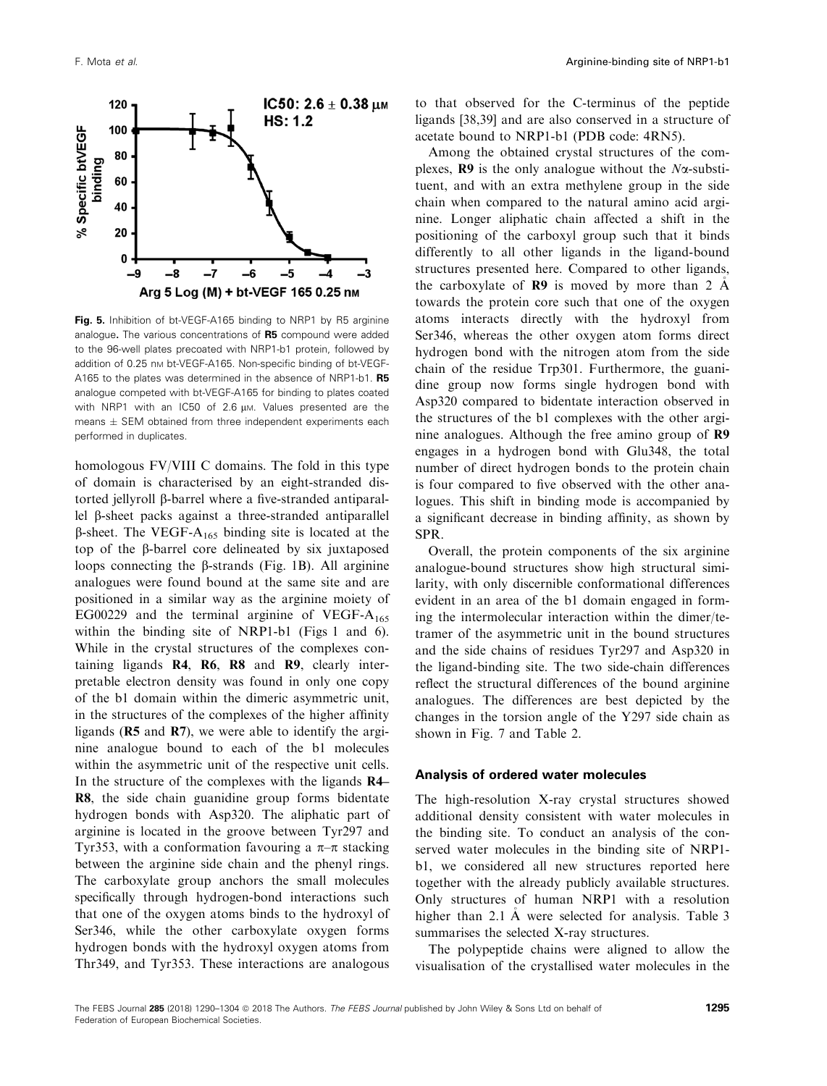

Fig. 5. Inhibition of bt-VEGF-A165 binding to NRP1 by R5 arginine analogue. The various concentrations of R5 compound were added to the 96-well plates precoated with NRP1-b1 protein, followed by addition of 0.25 nm bt-VEGF-A165. Non-specific binding of bt-VEGF-A165 to the plates was determined in the absence of NRP1-b1. R5 analogue competed with bt-VEGF-A165 for binding to plates coated with NRP1 with an IC50 of 2.6 µm. Values presented are the means  $\pm$  SEM obtained from three independent experiments each performed in duplicates.

homologous FV/VIII C domains. The fold in this type of domain is characterised by an eight-stranded distorted jellyroll β-barrel where a five-stranded antiparallel b-sheet packs against a three-stranded antiparallel  $\beta$ -sheet. The VEGF-A<sub>165</sub> binding site is located at the top of the  $\beta$ -barrel core delineated by six juxtaposed loops connecting the  $\beta$ -strands (Fig. 1B). All arginine analogues were found bound at the same site and are positioned in a similar way as the arginine moiety of EG00229 and the terminal arginine of VEGF- $A_{165}$ within the binding site of NRP1-b1 (Figs 1 and 6). While in the crystal structures of the complexes containing ligands R4, R6, R8 and R9, clearly interpretable electron density was found in only one copy of the b1 domain within the dimeric asymmetric unit, in the structures of the complexes of the higher affinity ligands (R5 and R7), we were able to identify the arginine analogue bound to each of the b1 molecules within the asymmetric unit of the respective unit cells. In the structure of the complexes with the ligands R4– R8, the side chain guanidine group forms bidentate hydrogen bonds with Asp320. The aliphatic part of arginine is located in the groove between Tyr297 and Tyr353, with a conformation favouring a  $\pi-\pi$  stacking between the arginine side chain and the phenyl rings. The carboxylate group anchors the small molecules specifically through hydrogen-bond interactions such that one of the oxygen atoms binds to the hydroxyl of Ser346, while the other carboxylate oxygen forms hydrogen bonds with the hydroxyl oxygen atoms from Thr349, and Tyr353. These interactions are analogous

to that observed for the C-terminus of the peptide ligands [38,39] and are also conserved in a structure of acetate bound to NRP1-b1 (PDB code: [4RN5](http://www.rcsb.org/pdb/search/structidSearch.do?structureId=4RN5)).

Among the obtained crystal structures of the complexes,  $\mathbb{R}9$  is the only analogue without the *N* $\alpha$ -substituent, and with an extra methylene group in the side chain when compared to the natural amino acid arginine. Longer aliphatic chain affected a shift in the positioning of the carboxyl group such that it binds differently to all other ligands in the ligand-bound structures presented here. Compared to other ligands, the carboxylate of  $\mathbb{R}9$  is moved by more than 2  $\AA$ towards the protein core such that one of the oxygen atoms interacts directly with the hydroxyl from Ser346, whereas the other oxygen atom forms direct hydrogen bond with the nitrogen atom from the side chain of the residue Trp301. Furthermore, the guanidine group now forms single hydrogen bond with Asp320 compared to bidentate interaction observed in the structures of the b1 complexes with the other arginine analogues. Although the free amino group of R9 engages in a hydrogen bond with Glu348, the total number of direct hydrogen bonds to the protein chain is four compared to five observed with the other analogues. This shift in binding mode is accompanied by a significant decrease in binding affinity, as shown by SPR.

Overall, the protein components of the six arginine analogue-bound structures show high structural similarity, with only discernible conformational differences evident in an area of the b1 domain engaged in forming the intermolecular interaction within the dimer/tetramer of the asymmetric unit in the bound structures and the side chains of residues Tyr297 and Asp320 in the ligand-binding site. The two side-chain differences reflect the structural differences of the bound arginine analogues. The differences are best depicted by the changes in the torsion angle of the Y297 side chain as shown in Fig. 7 and Table 2.

## Analysis of ordered water molecules

The high-resolution X-ray crystal structures showed additional density consistent with water molecules in the binding site. To conduct an analysis of the conserved water molecules in the binding site of NRP1 b1, we considered all new structures reported here together with the already publicly available structures. Only structures of human NRP1 with a resolution higher than 2.1 A were selected for analysis. Table 3 summarises the selected X-ray structures.

The polypeptide chains were aligned to allow the visualisation of the crystallised water molecules in the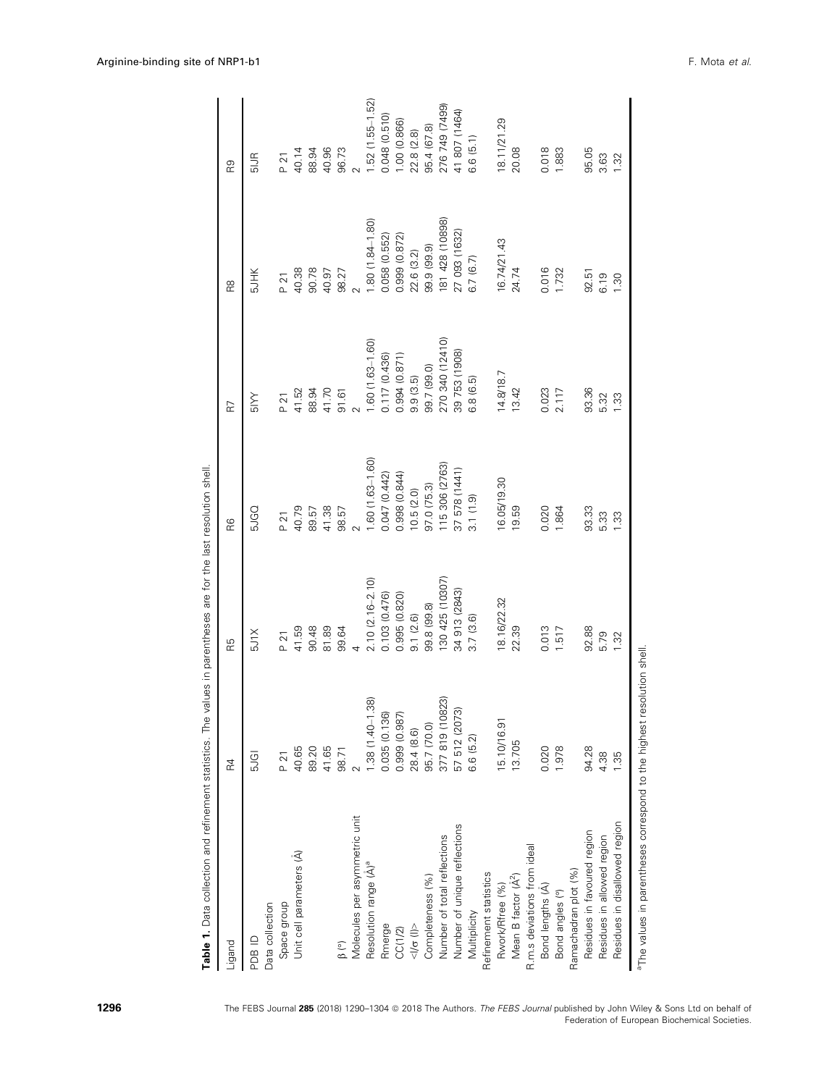| Table 1. Data collection and refinement statistics. The values in parentheses are for the last resolution shell |                                  |                     |                  |                  |                  |                         |
|-----------------------------------------------------------------------------------------------------------------|----------------------------------|---------------------|------------------|------------------|------------------|-------------------------|
| Ligand                                                                                                          | 젅                                | RБ                  | ၉၉               | R                | R8               | R9                      |
| OI BCH                                                                                                          | <b>5JGI</b>                      | <b>SJ1X</b>         | <b>D</b><br>DD   | <b>ANS</b>       | <b>SJHK</b>      | $\frac{1}{50}$          |
| Data collection                                                                                                 |                                  |                     |                  |                  |                  |                         |
| Space group                                                                                                     | P 21                             | P 21                | P <sub>21</sub>  | P <sub>21</sub>  | P <sub>21</sub>  | <b>P 21</b>             |
| Unit cell parameters (A)                                                                                        | 40.65                            | 41.59               | 40.79            | 41.52            | 40.38            | 40.14                   |
|                                                                                                                 | 89.20                            | 90.48               | 89.57            | 88.94            | 90.78            |                         |
|                                                                                                                 | 41.65                            | 81.89               | 41.38            | 41.70            | 40.97            | 88.94<br>40.96<br>96.73 |
|                                                                                                                 | 98.71                            | 99.64               | 98.57            | 91.61            | 98.27            |                         |
| Molecules per asymmetric unit                                                                                   |                                  |                     |                  |                  |                  |                         |
| Resolution range (Å) <sup>ª</sup>                                                                               | 1.38 (1.40-1.38)                 | $2.10(2.16 - 2.10)$ | 1.60 (1.63-1.60) | 1.60 (1.63-1.60) | 1.80 (1.84-1.80) | $1.52(1.55 - 1.52)$     |
| Rmerge                                                                                                          |                                  | 0.103 (0.476)       | 0.047 (0.442)    | 0.117 (0.436)    | 0.058 (0.552)    | 0.048 (0.510)           |
| CC(1/2)                                                                                                         | 0.035 (0.136)<br>0.999 (0.987)   | 0.995 (0.820)       | 0.998 (0.844)    | 0.994 (0.871)    | 0.999 (0.872)    | 1.00 (0.866)            |
| $\frac{1}{\sqrt{2}}$                                                                                            | 28.4 (8.6)                       | 9.1 (2.6)           | 10.5(2.0)        | 9.9(3.5)         | 22.6 (3.2)       | 22.8(2.8)               |
| Completeness (%)                                                                                                | 95.7 (70.0)                      | 99.8 (99.8)         | 97.0 (75.3)      | 99.7 (99.0)      | 99.9 (99.9)      | 95.4 (67.8)             |
| Number of total reflections                                                                                     | 377 819 (10823)<br>57 512 (2073) | 130 425 (10307)     | 115 306 (2763)   | 270 340 (12410)  | 81 428 (10898)   | 276 749 (7499)          |
| Number of unique reflections                                                                                    |                                  | 34 913 (2843)       | 37 578 (1441)    | 39 753 (1908)    | 27 093 (1632)    | 41 807 (1464)           |
| Multiplicity                                                                                                    | 6.6 (5.2)                        | 3.7(3.6)            | 3.1(1.9)         | 6.8 (6.5)        | 6.7(6.7)         | 6.6(5.1)                |
| Refinement statistics                                                                                           |                                  |                     |                  |                  |                  |                         |
| Rwork/Rfree (%)                                                                                                 | 15.10/16.91                      | 18.16/22.32         | 16.05/19.30      | 14.8/18.7        | 6.74/21.43       | 18.11/21.29             |
| Mean B factor (Å <sup>2</sup> )                                                                                 | 13.705                           | 22.39               | 19.59            | 13.42            | 24.74            | 20.08                   |
| R.m.s deviations from ideal                                                                                     |                                  |                     |                  |                  |                  |                         |
| Bond lengths (A)                                                                                                | 0.020                            | 0.013               | 0.020            | 0.023            | 0.016            | 0.018                   |
| Bond angles (°)                                                                                                 | 1.978                            | 1.517               | 1.864            | 2.117            | 1.732            | 1.883                   |
| Ramachadran plot (%)                                                                                            |                                  |                     |                  |                  |                  |                         |
| Residues in favoured region                                                                                     | 94.28                            | 92.88               | 93.33            | 93.36            | 92.51            | 95.05                   |
| Residues in allowed region                                                                                      | 4.38                             | 5.79                | 5.33             | 5.32             | 6.19             | 3.63                    |
| Residues in disallowed region                                                                                   | $-35$                            | 1.32                | $\frac{33}{2}$   | $\frac{33}{2}$   | 1.30             | 1.32                    |
| <sup>a</sup> The values in parentheses correspond to the highest resolution shell                               |                                  |                     |                  |                  |                  |                         |

1296 The FEBS Journal 285 (2018) 1290-1304 @ 2018 The Authors. The FEBS Journal published by John Wiley & Sons Ltd on behalf of Federation of European Biochemical Societies.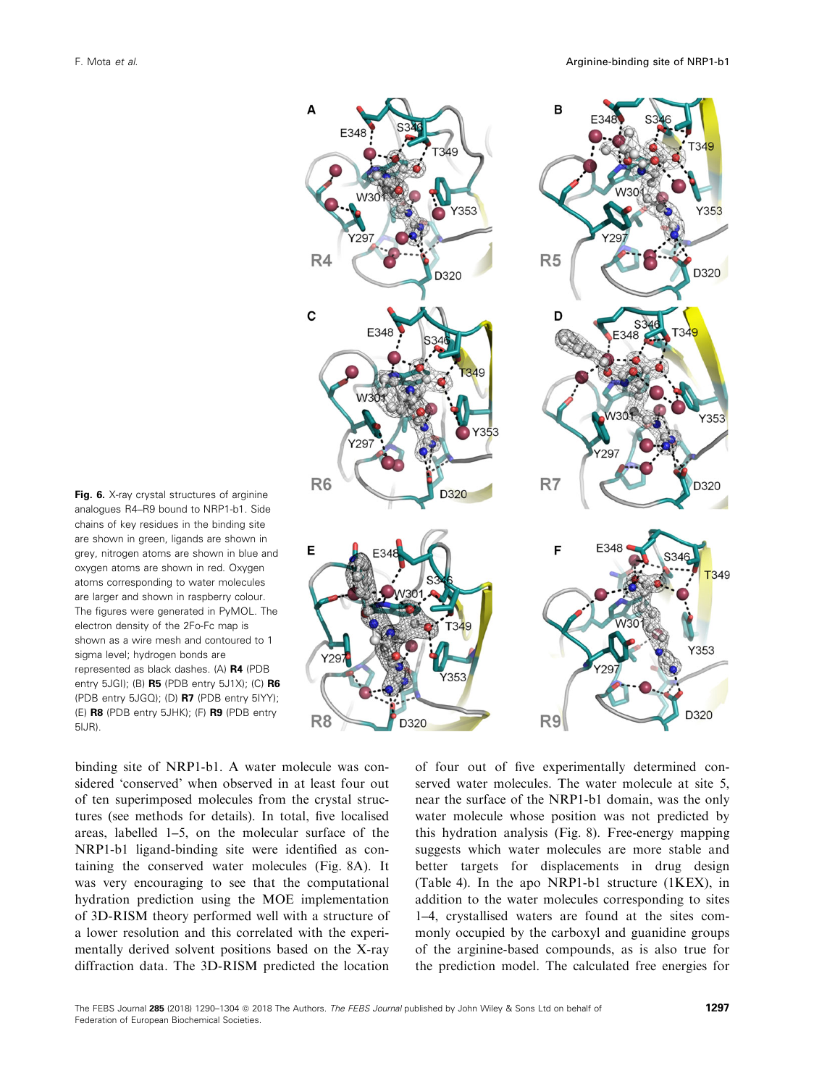B A 353 Y353  $R4$  $R<sub>5</sub>$ D320 D32C  $\mathbf C$ D へいとう R<sub>6</sub> R<sub>7</sub> D320 D320 Е T349 Y353  $'35$ D320 R<sub>8</sub> R<sub>9</sub> D320

Fig. 6. X-ray crystal structures of arginine analogues R4–R9 bound to NRP1-b1. Side chains of key residues in the binding site are shown in green, ligands are shown in grey, nitrogen atoms are shown in blue and oxygen atoms are shown in red. Oxygen atoms corresponding to water molecules are larger and shown in raspberry colour. The figures were generated in PyMOL. The electron density of the 2Fo-Fc map is shown as a wire mesh and contoured to 1 sigma level; hydrogen bonds are represented as black dashes. (A) R4 (PDB entry  $5JGI$ ; (B)  $R5$  (PDB entry  $5J1X$ ); (C)  $R6$ (PDB entry [5JGQ\)](http://www.rcsb.org/pdb/search/structidSearch.do?structureId=5JGQ); (D) R7 (PDB entry [5IYY\)](http://www.rcsb.org/pdb/search/structidSearch.do?structureId=5IYY); (E) R8 (PDB entry [5JHK\)](http://www.rcsb.org/pdb/search/structidSearch.do?structureId=5JHK); (F) R9 (PDB entry [5IJR\)](http://www.rcsb.org/pdb/search/structidSearch.do?structureId=5IJR).

binding site of NRP1-b1. A water molecule was considered 'conserved' when observed in at least four out of ten superimposed molecules from the crystal structures (see methods for details). In total, five localised areas, labelled 1–5, on the molecular surface of the NRP1-b1 ligand-binding site were identified as containing the conserved water molecules (Fig. 8A). It was very encouraging to see that the computational hydration prediction using the MOE implementation of 3D-RISM theory performed well with a structure of a lower resolution and this correlated with the experimentally derived solvent positions based on the X-ray diffraction data. The 3D-RISM predicted the location

of four out of five experimentally determined conserved water molecules. The water molecule at site 5, near the surface of the NRP1-b1 domain, was the only water molecule whose position was not predicted by this hydration analysis (Fig. 8). Free-energy mapping suggests which water molecules are more stable and better targets for displacements in drug design (Table 4). In the apo NRP1-b1 structure (1KEX), in addition to the water molecules corresponding to sites 1–4, crystallised waters are found at the sites commonly occupied by the carboxyl and guanidine groups of the arginine-based compounds, as is also true for the prediction model. The calculated free energies for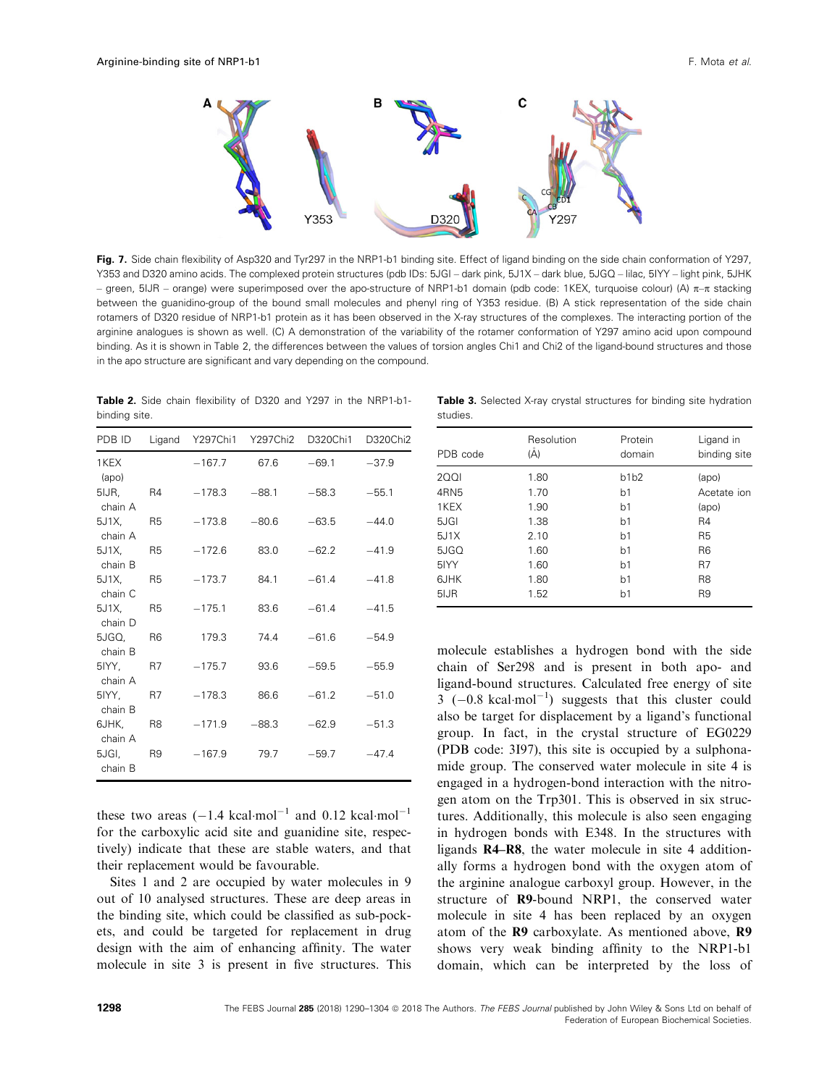

Fig. 7. Side chain flexibility of Asp320 and Tyr297 in the NRP1-b1 binding site. Effect of ligand binding on the side chain conformation of Y297, Y353 and D320 amino acids. The complexed protein structures (pdb IDs: [5JGI](http://www.rcsb.org/pdb/search/structidSearch.do?structureId=5JGI) – dark pink, [5J1X](http://www.rcsb.org/pdb/search/structidSearch.do?structureId=5J1X) – dark blue, [5JGQ](http://www.rcsb.org/pdb/search/structidSearch.do?structureId=5JGQ) – lilac, [5IYY](http://www.rcsb.org/pdb/search/structidSearch.do?structureId=5IYY) – light pink, [5JHK](http://www.rcsb.org/pdb/search/structidSearch.do?structureId=5JHK) – green, [5IJR](http://www.rcsb.org/pdb/search/structidSearch.do?structureId=5IJR) – orange) were superimposed over the apo-structure of NRP1-b1 domain (pdb code: [1KEX,](http://www.rcsb.org/pdb/search/structidSearch.do?structureId=1KEX) turquoise colour) (A)  $\pi$ – $\pi$  stacking between the guanidino-group of the bound small molecules and phenyl ring of Y353 residue. (B) A stick representation of the side chain rotamers of D320 residue of NRP1-b1 protein as it has been observed in the X-ray structures of the complexes. The interacting portion of the arginine analogues is shown as well. (C) A demonstration of the variability of the rotamer conformation of Y297 amino acid upon compound binding. As it is shown in Table 2, the differences between the values of torsion angles Chi1 and Chi2 of the ligand-bound structures and those in the apo structure are significant and vary depending on the compound.

Table 2. Side chain flexibility of D320 and Y297 in the NRP1-b1 binding site.

| PDB ID           | Ligand         |          | Y297Chi1 Y297Chi2 | D320Chi1 | D320Chi2 |
|------------------|----------------|----------|-------------------|----------|----------|
| 1KEX<br>(apo)    |                | $-167.7$ | 67.6              | $-69.1$  | $-37.9$  |
| 5IJR,<br>chain A | - R4           | $-178.3$ | $-88.1$           | $-58.3$  | $-55.1$  |
| 5J1X,<br>chain A | - R5           | $-173.8$ | $-80.6$           | $-63.5$  | $-44.0$  |
| 5J1X<br>chain B  | R5             | $-172.6$ | 83.0              | $-62.2$  | $-41.9$  |
| 5J1X<br>chain C  | R <sub>5</sub> | $-173.7$ | 84.1              | $-61.4$  | $-41.8$  |
| 5J1X<br>chain D  | <b>R5</b>      | $-175.1$ | 83.6              | $-61.4$  | $-41.5$  |
| 5JGQ,<br>chain B | R <sub>6</sub> | 179.3    | 74.4              | $-61.6$  | $-54.9$  |
| 5IYY,<br>chain A | <b>R7</b>      | $-175.7$ | 93.6              | $-59.5$  | $-55.9$  |
| 5IYY,<br>chain B | - R7           | $-178.3$ | 86.6              | $-61.2$  | $-51.0$  |
| 6JHK,<br>chain A | R8 R           | $-171.9$ | $-88.3$           | $-62.9$  | $-51.3$  |
| 5JGI,<br>chain B | R9 R           | $-167.9$ | 79.7              | $-59.7$  | $-47.4$  |

these two areas  $(-1.4 \text{ kcal·mol}^{-1}$  and 0.12 kcal·mol<sup>-1</sup> for the carboxylic acid site and guanidine site, respectively) indicate that these are stable waters, and that their replacement would be favourable.

Sites 1 and 2 are occupied by water molecules in 9 out of 10 analysed structures. These are deep areas in the binding site, which could be classified as sub-pockets, and could be targeted for replacement in drug design with the aim of enhancing affinity. The water molecule in site 3 is present in five structures. This

|          |  | <b>Table 3.</b> Selected X-ray crystal structures for binding site hydration |  |  |
|----------|--|------------------------------------------------------------------------------|--|--|
| studies. |  |                                                                              |  |  |

| PDB code         | Resolution<br>(Å) | Protein<br>domain | Ligand in<br>binding site |
|------------------|-------------------|-------------------|---------------------------|
| <b>2001</b>      | 1.80              | b1b2              | (apo)                     |
| 4RN <sub>5</sub> | 1.70              | b <sub>1</sub>    | Acetate ion               |
| 1KEX             | 1.90              | b <sub>1</sub>    | (apo)                     |
| 5JGI             | 1.38              | b <sub>1</sub>    | R4                        |
| 5J1X             | 2.10              | b <sub>1</sub>    | R <sub>5</sub>            |
| 5JGQ             | 1.60              | b <sub>1</sub>    | R <sub>6</sub>            |
| 5IYY             | 1.60              | b <sub>1</sub>    | R7                        |
| 6JHK             | 1.80              | b <sub>1</sub>    | R <sub>8</sub>            |
| 5IJR             | 1.52              | b <sub>1</sub>    | R <sub>9</sub>            |
|                  |                   |                   |                           |

molecule establishes a hydrogen bond with the side chain of Ser298 and is present in both apo- and ligand-bound structures. Calculated free energy of site  $3 (-0.8 \text{ kcal·mol}^{-1})$  suggests that this cluster could also be target for displacement by a ligand's functional group. In fact, in the crystal structure of EG0229 (PDB code: [3I97](http://www.rcsb.org/pdb/search/structidSearch.do?structureId=3I97)), this site is occupied by a sulphonamide group. The conserved water molecule in site 4 is engaged in a hydrogen-bond interaction with the nitrogen atom on the Trp301. This is observed in six structures. Additionally, this molecule is also seen engaging in hydrogen bonds with E348. In the structures with ligands R4–R8, the water molecule in site 4 additionally forms a hydrogen bond with the oxygen atom of the arginine analogue carboxyl group. However, in the structure of R9-bound NRP1, the conserved water molecule in site 4 has been replaced by an oxygen atom of the R9 carboxylate. As mentioned above, R9 shows very weak binding affinity to the NRP1-b1 domain, which can be interpreted by the loss of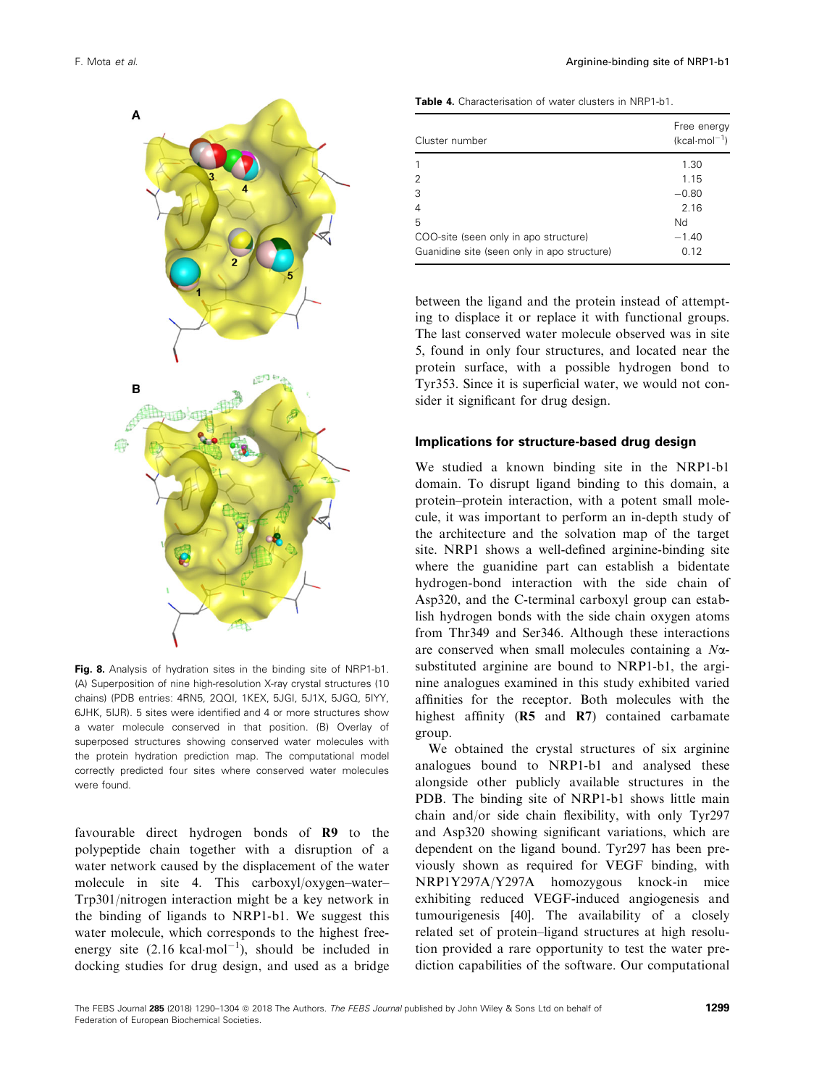

Fig. 8. Analysis of hydration sites in the binding site of NRP1-b1. (A) Superposition of nine high-resolution X-ray crystal structures (10 chains) (PDB entries: [4RN5](http://www.rcsb.org/pdb/search/structidSearch.do?structureId=4RN5), [2QQI](http://www.rcsb.org/pdb/search/structidSearch.do?structureId=2QQI), [1KEX,](http://www.rcsb.org/pdb/search/structidSearch.do?structureId=1KEX) [5JGI](http://www.rcsb.org/pdb/search/structidSearch.do?structureId=5JGI), [5J1X,](http://www.rcsb.org/pdb/search/structidSearch.do?structureId=5J1X) [5JGQ,](http://www.rcsb.org/pdb/search/structidSearch.do?structureId=5JGQ) [5IYY](http://www.rcsb.org/pdb/search/structidSearch.do?structureId=5IYY), [6JHK,](http://www.rcsb.org/pdb/search/structidSearch.do?structureId=6JHK) [5IJR](http://www.rcsb.org/pdb/search/structidSearch.do?structureId=5IJR)). 5 sites were identified and 4 or more structures show a water molecule conserved in that position. (B) Overlay of superposed structures showing conserved water molecules with the protein hydration prediction map. The computational model correctly predicted four sites where conserved water molecules were found.

favourable direct hydrogen bonds of R9 to the polypeptide chain together with a disruption of a water network caused by the displacement of the water molecule in site 4. This carboxyl/oxygen–water– Trp301/nitrogen interaction might be a key network in the binding of ligands to NRP1-b1. We suggest this water molecule, which corresponds to the highest freeenergy site  $(2.16 \text{ kcal·mol}^{-1})$ , should be included in docking studies for drug design, and used as a bridge

|  | <b>Table 4.</b> Characterisation of water clusters in NRP1-b1. |  |  |  |  |  |  |
|--|----------------------------------------------------------------|--|--|--|--|--|--|
|--|----------------------------------------------------------------|--|--|--|--|--|--|

| Cluster number                              | Free energy<br>$(kcal·mol-1)$ |
|---------------------------------------------|-------------------------------|
|                                             | 1.30                          |
| $\overline{2}$                              | 1.15                          |
| 3                                           | $-0.80$                       |
| $\overline{4}$                              | 2.16                          |
| 5                                           | Nd                            |
| COO-site (seen only in apo structure)       | $-1.40$                       |
| Guanidine site (seen only in apo structure) | 0.12                          |

between the ligand and the protein instead of attempting to displace it or replace it with functional groups. The last conserved water molecule observed was in site 5, found in only four structures, and located near the protein surface, with a possible hydrogen bond to Tyr353. Since it is superficial water, we would not consider it significant for drug design.

## Implications for structure-based drug design

We studied a known binding site in the NRP1-b1 domain. To disrupt ligand binding to this domain, a protein–protein interaction, with a potent small molecule, it was important to perform an in-depth study of the architecture and the solvation map of the target site. NRP1 shows a well-defined arginine-binding site where the guanidine part can establish a bidentate hydrogen-bond interaction with the side chain of Asp320, and the C-terminal carboxyl group can establish hydrogen bonds with the side chain oxygen atoms from Thr349 and Ser346. Although these interactions are conserved when small molecules containing a  $N\alpha$ substituted arginine are bound to NRP1-b1, the arginine analogues examined in this study exhibited varied affinities for the receptor. Both molecules with the highest affinity (R5 and R7) contained carbamate group.

We obtained the crystal structures of six arginine analogues bound to NRP1-b1 and analysed these alongside other publicly available structures in the PDB. The binding site of NRP1-b1 shows little main chain and/or side chain flexibility, with only Tyr297 and Asp320 showing significant variations, which are dependent on the ligand bound. Tyr297 has been previously shown as required for VEGF binding, with NRP1Y297A/Y297A homozygous knock-in mice exhibiting reduced VEGF-induced angiogenesis and tumourigenesis [40]. The availability of a closely related set of protein–ligand structures at high resolution provided a rare opportunity to test the water prediction capabilities of the software. Our computational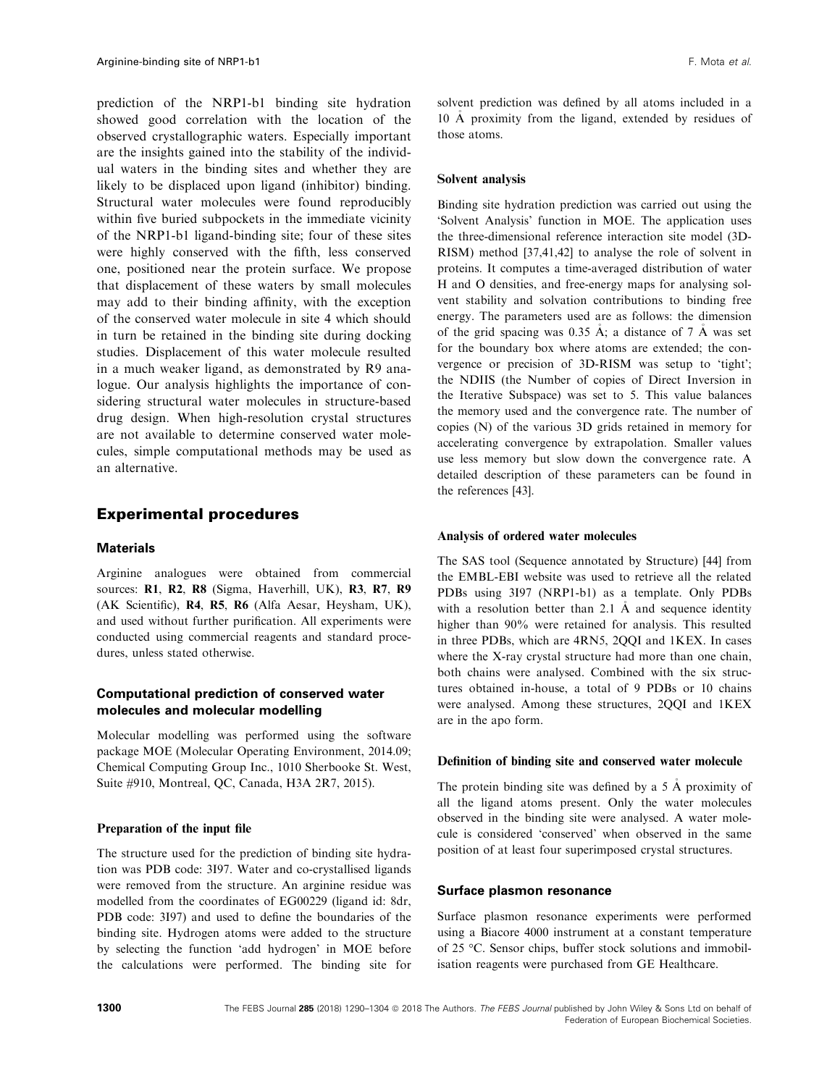prediction of the NRP1-b1 binding site hydration showed good correlation with the location of the observed crystallographic waters. Especially important are the insights gained into the stability of the individual waters in the binding sites and whether they are likely to be displaced upon ligand (inhibitor) binding. Structural water molecules were found reproducibly within five buried subpockets in the immediate vicinity of the NRP1-b1 ligand-binding site; four of these sites were highly conserved with the fifth, less conserved one, positioned near the protein surface. We propose that displacement of these waters by small molecules may add to their binding affinity, with the exception of the conserved water molecule in site 4 which should in turn be retained in the binding site during docking studies. Displacement of this water molecule resulted in a much weaker ligand, as demonstrated by R9 analogue. Our analysis highlights the importance of considering structural water molecules in structure-based drug design. When high-resolution crystal structures are not available to determine conserved water molecules, simple computational methods may be used as an alternative.

## Experimental procedures

## **Materials**

Arginine analogues were obtained from commercial sources: R1, R2, R8 (Sigma, Haverhill, UK), R3, R7, R9 (AK Scientific), R4, R5, R6 (Alfa Aesar, Heysham, UK), and used without further purification. All experiments were conducted using commercial reagents and standard procedures, unless stated otherwise.

## Computational prediction of conserved water molecules and molecular modelling

Molecular modelling was performed using the software package MOE (Molecular Operating Environment, 2014.09; Chemical Computing Group Inc., 1010 Sherbooke St. West, Suite #910, Montreal, QC, Canada, H3A 2R7, 2015).

## Preparation of the input file

The structure used for the prediction of binding site hydration was PDB code: [3I97](http://www.rcsb.org/pdb/search/structidSearch.do?structureId=3I97). Water and co-crystallised ligands were removed from the structure. An arginine residue was modelled from the coordinates of EG00229 (ligand id: 8dr, PDB code: [3I97](http://www.rcsb.org/pdb/search/structidSearch.do?structureId=3I97)) and used to define the boundaries of the binding site. Hydrogen atoms were added to the structure by selecting the function 'add hydrogen' in MOE before the calculations were performed. The binding site for

solvent prediction was defined by all atoms included in a 10 A proximity from the ligand, extended by residues of those atoms.

#### Solvent analysis

Binding site hydration prediction was carried out using the 'Solvent Analysis' function in MOE. The application uses the three-dimensional reference interaction site model (3D-RISM) method [37,41,42] to analyse the role of solvent in proteins. It computes a time-averaged distribution of water H and O densities, and free-energy maps for analysing solvent stability and solvation contributions to binding free energy. The parameters used are as follows: the dimension of the grid spacing was 0.35  $\AA$ ; a distance of 7  $\AA$  was set for the boundary box where atoms are extended; the convergence or precision of 3D-RISM was setup to 'tight'; the NDIIS (the Number of copies of Direct Inversion in the Iterative Subspace) was set to 5. This value balances the memory used and the convergence rate. The number of copies (N) of the various 3D grids retained in memory for accelerating convergence by extrapolation. Smaller values use less memory but slow down the convergence rate. A detailed description of these parameters can be found in the references [43].

## Analysis of ordered water molecules

The SAS tool (Sequence annotated by Structure) [44] from the EMBL-EBI website was used to retrieve all the related PDBs using [3I97](http://www.rcsb.org/pdb/search/structidSearch.do?structureId=3I97) (NRP1-b1) as a template. Only PDBs with a resolution better than 2.1  $\AA$  and sequence identity higher than 90% were retained for analysis. This resulted in three PDBs, which are [4RN5,](http://www.rcsb.org/pdb/search/structidSearch.do?structureId=4RN5) [2QQI](http://www.rcsb.org/pdb/search/structidSearch.do?structureId=2QQI) and [1KEX](http://www.rcsb.org/pdb/search/structidSearch.do?structureId=1KEX). In cases where the X-ray crystal structure had more than one chain, both chains were analysed. Combined with the six structures obtained in-house, a total of 9 PDBs or 10 chains were analysed. Among these structures, [2QQI](http://www.rcsb.org/pdb/search/structidSearch.do?structureId=2QQI) and [1KEX](http://www.rcsb.org/pdb/search/structidSearch.do?structureId=1KEX) are in the apo form.

## Definition of binding site and conserved water molecule

The protein binding site was defined by a 5 Å proximity of all the ligand atoms present. Only the water molecules observed in the binding site were analysed. A water molecule is considered 'conserved' when observed in the same position of at least four superimposed crystal structures.

#### Surface plasmon resonance

Surface plasmon resonance experiments were performed using a Biacore 4000 instrument at a constant temperature of 25 °C. Sensor chips, buffer stock solutions and immobilisation reagents were purchased from GE Healthcare.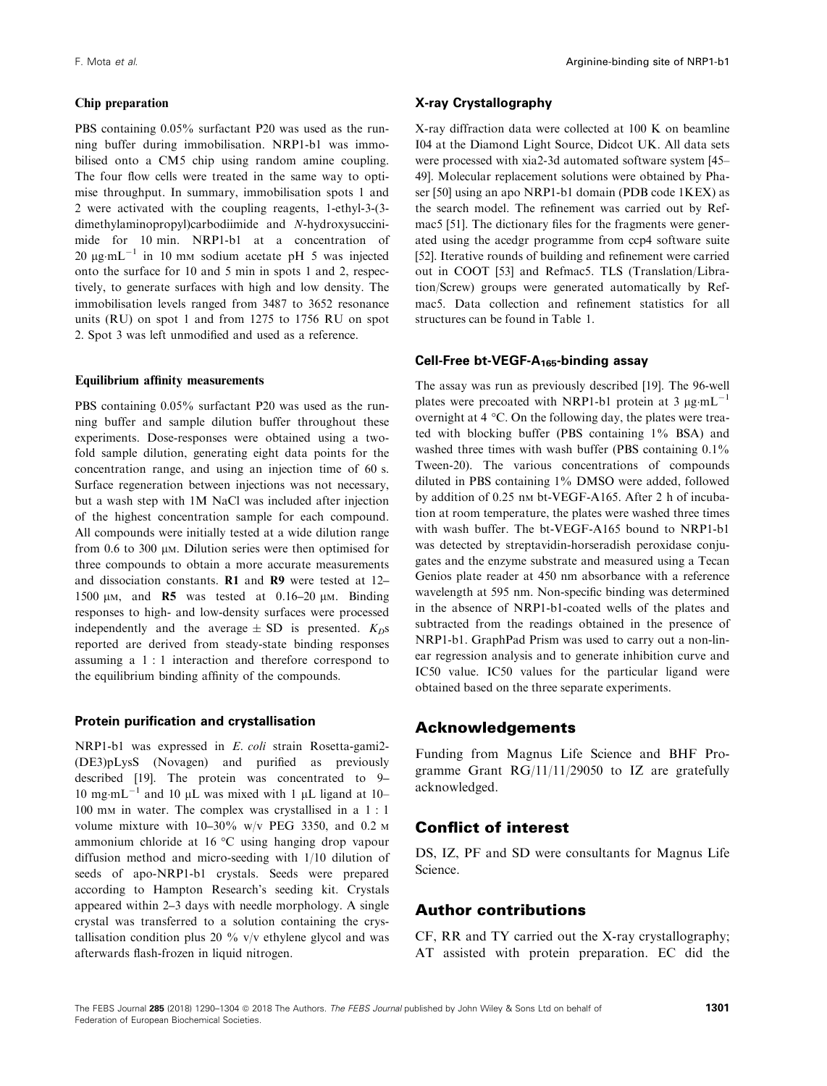PBS containing 0.05% surfactant P20 was used as the running buffer during immobilisation. NRP1-b1 was immobilised onto a CM5 chip using random amine coupling. The four flow cells were treated in the same way to optimise throughput. In summary, immobilisation spots 1 and 2 were activated with the coupling reagents, 1-ethyl-3-(3 dimethylaminopropyl)carbodiimide and N-hydroxysuccinimide for 10 min. NRP1-b1 at a concentration of 20  $\mu$ g·mL<sup>-1</sup> in 10 mm sodium acetate pH 5 was injected onto the surface for 10 and 5 min in spots 1 and 2, respectively, to generate surfaces with high and low density. The immobilisation levels ranged from 3487 to 3652 resonance units (RU) on spot 1 and from 1275 to 1756 RU on spot 2. Spot 3 was left unmodified and used as a reference.

## Equilibrium affinity measurements

PBS containing 0.05% surfactant P20 was used as the running buffer and sample dilution buffer throughout these experiments. Dose-responses were obtained using a twofold sample dilution, generating eight data points for the concentration range, and using an injection time of 60 s. Surface regeneration between injections was not necessary, but a wash step with 1M NaCl was included after injection of the highest concentration sample for each compound. All compounds were initially tested at a wide dilution range from 0.6 to 300  $\mu$ m. Dilution series were then optimised for three compounds to obtain a more accurate measurements and dissociation constants. R1 and R9 were tested at 12– 1500  $\mu$ M, and R5 was tested at 0.16–20  $\mu$ M. Binding responses to high- and low-density surfaces were processed independently and the average  $\pm$  SD is presented.  $K_{D}$ s reported are derived from steady-state binding responses assuming a 1 : 1 interaction and therefore correspond to the equilibrium binding affinity of the compounds.

#### Protein purification and crystallisation

NRP1-b1 was expressed in E. coli strain Rosetta-gami2- (DE3)pLysS (Novagen) and purified as previously described [19]. The protein was concentrated to 9– 10 mg·mL<sup>-1</sup> and 10  $\mu$ L was mixed with 1  $\mu$ L ligand at 10– 100 mM in water. The complex was crystallised in a 1 : 1 volume mixture with  $10-30\%$  w/v PEG 3350, and 0.2 M ammonium chloride at 16 °C using hanging drop vapour diffusion method and micro-seeding with 1/10 dilution of seeds of apo-NRP1-b1 crystals. Seeds were prepared according to Hampton Research's seeding kit. Crystals appeared within 2–3 days with needle morphology. A single crystal was transferred to a solution containing the crystallisation condition plus 20  $\%$  v/v ethylene glycol and was afterwards flash-frozen in liquid nitrogen.

## X-ray Crystallography

X-ray diffraction data were collected at 100 K on beamline I04 at the Diamond Light Source, Didcot UK. All data sets were processed with xia2-3d automated software system [45– 49]. Molecular replacement solutions were obtained by Phaser [50] using an apo NRP1-b1 domain (PDB code [1KEX\)](http://www.rcsb.org/pdb/search/structidSearch.do?structureId=1KEX) as the search model. The refinement was carried out by Refmac5 [51]. The dictionary files for the fragments were generated using the acedgr programme from ccp4 software suite [52]. Iterative rounds of building and refinement were carried out in COOT [53] and Refmac5. TLS (Translation/Libration/Screw) groups were generated automatically by Refmac5. Data collection and refinement statistics for all structures can be found in Table 1.

## Cell-Free bt-VEGF- $A_{165}$ -binding assay

The assay was run as previously described [19]. The 96-well plates were precoated with NRP1-b1 protein at 3  $\mu$ g·mL<sup>-1</sup> overnight at 4 °C. On the following day, the plates were treated with blocking buffer (PBS containing 1% BSA) and washed three times with wash buffer (PBS containing  $0.1\%$ ) Tween-20). The various concentrations of compounds diluted in PBS containing 1% DMSO were added, followed by addition of 0.25 nm bt-VEGF-A165. After 2 h of incubation at room temperature, the plates were washed three times with wash buffer. The bt-VEGF-A165 bound to NRP1-b1 was detected by streptavidin-horseradish peroxidase conjugates and the enzyme substrate and measured using a Tecan Genios plate reader at 450 nm absorbance with a reference wavelength at 595 nm. Non-specific binding was determined in the absence of NRP1-b1-coated wells of the plates and subtracted from the readings obtained in the presence of NRP1-b1. GraphPad Prism was used to carry out a non-linear regression analysis and to generate inhibition curve and IC50 value. IC50 values for the particular ligand were obtained based on the three separate experiments.

## Acknowledgements

Funding from Magnus Life Science and BHF Programme Grant RG/11/11/29050 to IZ are gratefully acknowledged.

# Conflict of interest

DS, IZ, PF and SD were consultants for Magnus Life Science.

## Author contributions

CF, RR and TY carried out the X-ray crystallography; AT assisted with protein preparation. EC did the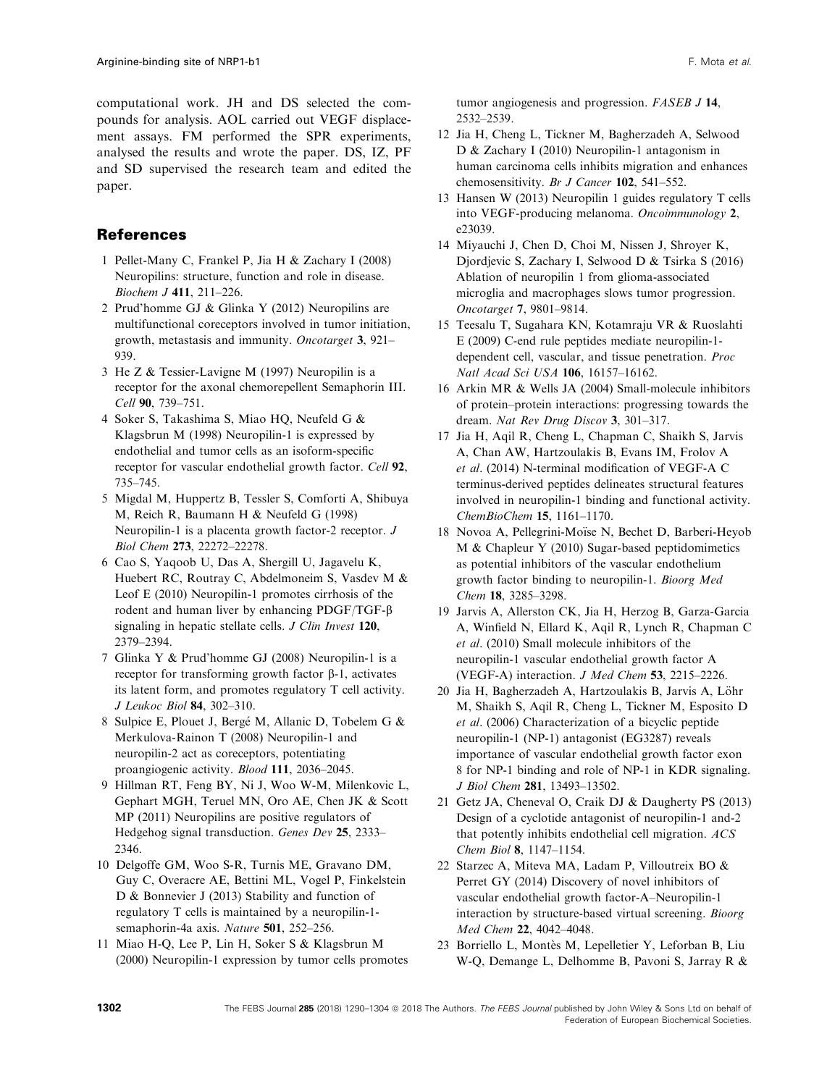computational work. JH and DS selected the compounds for analysis. AOL carried out VEGF displacement assays. FM performed the SPR experiments, analysed the results and wrote the paper. DS, IZ, PF and SD supervised the research team and edited the paper.

# References

- 1 Pellet-Many C, Frankel P, Jia H & Zachary I (2008) Neuropilins: structure, function and role in disease. Biochem J 411, 211–226.
- 2 Prud'homme GJ & Glinka Y (2012) Neuropilins are multifunctional coreceptors involved in tumor initiation, growth, metastasis and immunity. Oncotarget 3, 921– 939.
- 3 He Z & Tessier-Lavigne M (1997) Neuropilin is a receptor for the axonal chemorepellent Semaphorin III. Cell 90, 739–751.
- 4 Soker S, Takashima S, Miao HQ, Neufeld G & Klagsbrun M (1998) Neuropilin-1 is expressed by endothelial and tumor cells as an isoform-specific receptor for vascular endothelial growth factor. Cell 92, 735–745.
- 5 Migdal M, Huppertz B, Tessler S, Comforti A, Shibuya M, Reich R, Baumann H & Neufeld G (1998) Neuropilin-1 is a placenta growth factor-2 receptor. J Biol Chem 273, 22272–22278.
- 6 Cao S, Yaqoob U, Das A, Shergill U, Jagavelu K, Huebert RC, Routray C, Abdelmoneim S, Vasdev M & Leof E (2010) Neuropilin-1 promotes cirrhosis of the rodent and human liver by enhancing PDGF/TGF-b signaling in hepatic stellate cells. J Clin Invest 120, 2379–2394.
- 7 Glinka Y & Prud'homme GJ (2008) Neuropilin-1 is a receptor for transforming growth factor  $\beta$ -1, activates its latent form, and promotes regulatory T cell activity. J Leukoc Biol 84, 302–310.
- 8 Sulpice E, Plouet J, Berge M, Allanic D, Tobelem G & Merkulova-Rainon T (2008) Neuropilin-1 and neuropilin-2 act as coreceptors, potentiating proangiogenic activity. Blood 111, 2036–2045.
- 9 Hillman RT, Feng BY, Ni J, Woo W-M, Milenkovic L, Gephart MGH, Teruel MN, Oro AE, Chen JK & Scott MP (2011) Neuropilins are positive regulators of Hedgehog signal transduction. Genes Dev 25, 2333– 2346.
- 10 Delgoffe GM, Woo S-R, Turnis ME, Gravano DM, Guy C, Overacre AE, Bettini ML, Vogel P, Finkelstein D & Bonnevier J (2013) Stability and function of regulatory T cells is maintained by a neuropilin-1 semaphorin-4a axis. Nature 501, 252–256.
- 11 Miao H-Q, Lee P, Lin H, Soker S & Klagsbrun M (2000) Neuropilin-1 expression by tumor cells promotes

tumor angiogenesis and progression. FASEB J 14, 2532–2539.

- 12 Jia H, Cheng L, Tickner M, Bagherzadeh A, Selwood D & Zachary I (2010) Neuropilin-1 antagonism in human carcinoma cells inhibits migration and enhances chemosensitivity. Br J Cancer 102, 541-552.
- 13 Hansen W (2013) Neuropilin 1 guides regulatory T cells into VEGF-producing melanoma. Oncoimmunology 2, e23039.
- 14 Miyauchi J, Chen D, Choi M, Nissen J, Shroyer K, Djordjevic S, Zachary I, Selwood D & Tsirka S (2016) Ablation of neuropilin 1 from glioma-associated microglia and macrophages slows tumor progression. Oncotarget 7, 9801–9814.
- 15 Teesalu T, Sugahara KN, Kotamraju VR & Ruoslahti E (2009) C-end rule peptides mediate neuropilin-1 dependent cell, vascular, and tissue penetration. Proc Natl Acad Sci USA 106, 16157–16162.
- 16 Arkin MR & Wells JA (2004) Small-molecule inhibitors of protein–protein interactions: progressing towards the dream. Nat Rev Drug Discov 3, 301–317.
- 17 Jia H, Aqil R, Cheng L, Chapman C, Shaikh S, Jarvis A, Chan AW, Hartzoulakis B, Evans IM, Frolov A et al. (2014) N-terminal modification of VEGF-A C terminus-derived peptides delineates structural features involved in neuropilin-1 binding and functional activity. ChemBioChem 15, 1161–1170.
- 18 Novoa A, Pellegrini-Moïse N, Bechet D, Barberi-Heyob M & Chapleur Y (2010) Sugar-based peptidomimetics as potential inhibitors of the vascular endothelium growth factor binding to neuropilin-1. Bioorg Med Chem 18, 3285–3298.
- 19 Jarvis A, Allerston CK, Jia H, Herzog B, Garza-Garcia A, Winfield N, Ellard K, Aqil R, Lynch R, Chapman C et al. (2010) Small molecule inhibitors of the neuropilin-1 vascular endothelial growth factor A (VEGF-A) interaction. J Med Chem 53, 2215–2226.
- 20 Jia H, Bagherzadeh A, Hartzoulakis B, Jarvis A, Löhr M, Shaikh S, Aqil R, Cheng L, Tickner M, Esposito D et al. (2006) Characterization of a bicyclic peptide neuropilin-1 (NP-1) antagonist (EG3287) reveals importance of vascular endothelial growth factor exon 8 for NP-1 binding and role of NP-1 in KDR signaling. J Biol Chem 281, 13493–13502.
- 21 Getz JA, Cheneval O, Craik DJ & Daugherty PS (2013) Design of a cyclotide antagonist of neuropilin-1 and-2 that potently inhibits endothelial cell migration. ACS Chem Biol 8, 1147–1154.
- 22 Starzec A, Miteva MA, Ladam P, Villoutreix BO & Perret GY (2014) Discovery of novel inhibitors of vascular endothelial growth factor-A–Neuropilin-1 interaction by structure-based virtual screening. Bioorg Med Chem 22, 4042–4048.
- 23 Borriello L, Montès M, Lepelletier Y, Leforban B, Liu W-Q, Demange L, Delhomme B, Pavoni S, Jarray R &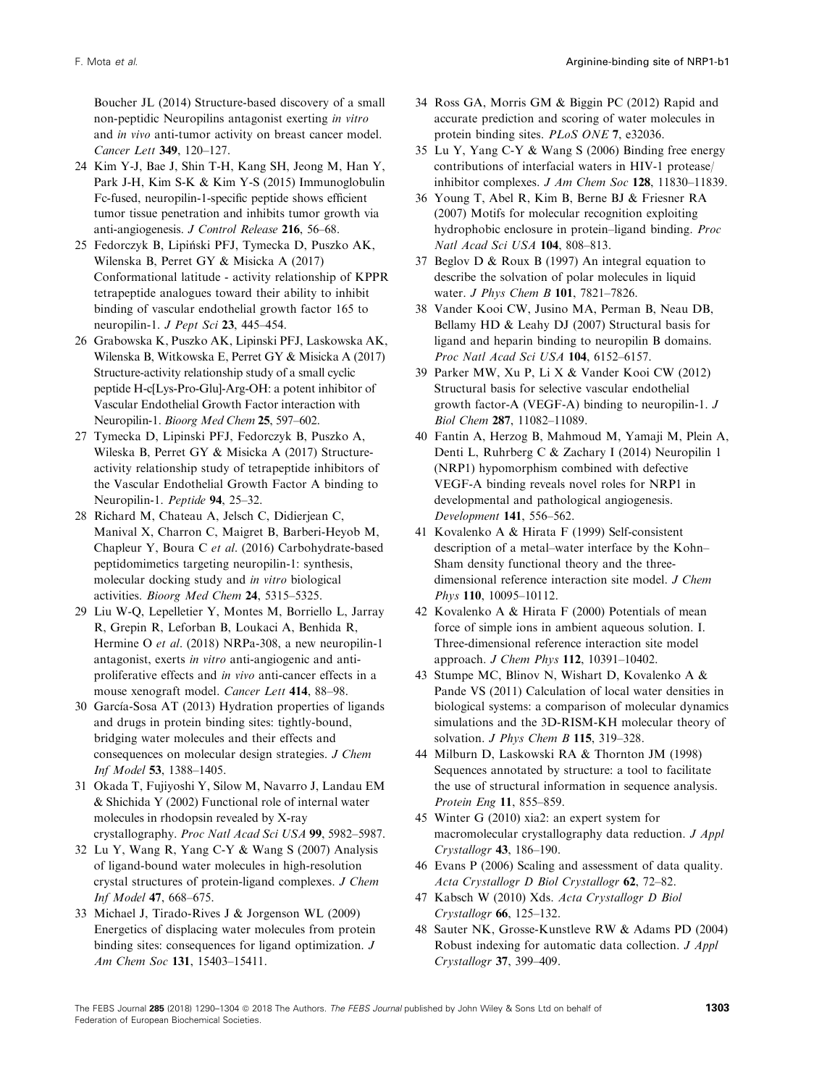Boucher JL (2014) Structure-based discovery of a small non-peptidic Neuropilins antagonist exerting in vitro and in vivo anti-tumor activity on breast cancer model. Cancer Lett 349, 120–127.

- 24 Kim Y-J, Bae J, Shin T-H, Kang SH, Jeong M, Han Y, Park J-H, Kim S-K & Kim Y-S (2015) Immunoglobulin Fc-fused, neuropilin-1-specific peptide shows efficient tumor tissue penetration and inhibits tumor growth via anti-angiogenesis. J Control Release 216, 56–68.
- 25 Fedorczyk B, Lipinski PFJ, Tymecka D, Puszko AK, Wilenska B, Perret GY & Misicka A (2017) Conformational latitude - activity relationship of KPPR tetrapeptide analogues toward their ability to inhibit binding of vascular endothelial growth factor 165 to neuropilin-1. J Pept Sci 23, 445–454.
- 26 Grabowska K, Puszko AK, Lipinski PFJ, Laskowska AK, Wilenska B, Witkowska E, Perret GY & Misicka A (2017) Structure-activity relationship study of a small cyclic peptide H-c[Lys-Pro-Glu]-Arg-OH: a potent inhibitor of Vascular Endothelial Growth Factor interaction with Neuropilin-1. Bioorg Med Chem 25, 597–602.
- 27 Tymecka D, Lipinski PFJ, Fedorczyk B, Puszko A, Wileska B, Perret GY & Misicka A (2017) Structureactivity relationship study of tetrapeptide inhibitors of the Vascular Endothelial Growth Factor A binding to Neuropilin-1. Peptide 94, 25–32.
- 28 Richard M, Chateau A, Jelsch C, Didierjean C, Manival X, Charron C, Maigret B, Barberi-Heyob M, Chapleur Y, Boura C et al. (2016) Carbohydrate-based peptidomimetics targeting neuropilin-1: synthesis, molecular docking study and in vitro biological activities. Bioorg Med Chem 24, 5315–5325.
- 29 Liu W-Q, Lepelletier Y, Montes M, Borriello L, Jarray R, Grepin R, Leforban B, Loukaci A, Benhida R, Hermine O et al. (2018) NRPa-308, a new neuropilin-1 antagonist, exerts in vitro anti-angiogenic and antiproliferative effects and in vivo anti-cancer effects in a mouse xenograft model. Cancer Lett 414, 88–98.
- 30 García-Sosa AT (2013) Hydration properties of ligands and drugs in protein binding sites: tightly-bound, bridging water molecules and their effects and consequences on molecular design strategies. J Chem Inf Model 53, 1388–1405.
- 31 Okada T, Fujiyoshi Y, Silow M, Navarro J, Landau EM & Shichida Y (2002) Functional role of internal water molecules in rhodopsin revealed by X-ray crystallography. Proc Natl Acad Sci USA 99, 5982–5987.
- 32 Lu Y, Wang R, Yang C-Y & Wang S (2007) Analysis of ligand-bound water molecules in high-resolution crystal structures of protein-ligand complexes. J Chem Inf Model 47, 668–675.
- 33 Michael J, Tirado-Rives J & Jorgenson WL (2009) Energetics of displacing water molecules from protein binding sites: consequences for ligand optimization. J Am Chem Soc 131, 15403–15411.
- 34 Ross GA, Morris GM & Biggin PC (2012) Rapid and accurate prediction and scoring of water molecules in protein binding sites. PLoS ONE 7, e32036.
- 35 Lu Y, Yang C-Y & Wang S (2006) Binding free energy contributions of interfacial waters in HIV-1 protease/ inhibitor complexes. J Am Chem Soc 128, 11830–11839.
- 36 Young T, Abel R, Kim B, Berne BJ & Friesner RA (2007) Motifs for molecular recognition exploiting hydrophobic enclosure in protein–ligand binding. Proc Natl Acad Sci USA 104, 808–813.
- 37 Beglov D & Roux B (1997) An integral equation to describe the solvation of polar molecules in liquid water. *J Phys Chem B* 101, 7821-7826.
- 38 Vander Kooi CW, Jusino MA, Perman B, Neau DB, Bellamy HD & Leahy DJ (2007) Structural basis for ligand and heparin binding to neuropilin B domains. Proc Natl Acad Sci USA 104, 6152–6157.
- 39 Parker MW, Xu P, Li X & Vander Kooi CW (2012) Structural basis for selective vascular endothelial growth factor-A (VEGF-A) binding to neuropilin-1. J Biol Chem 287, 11082–11089.
- 40 Fantin A, Herzog B, Mahmoud M, Yamaji M, Plein A, Denti L, Ruhrberg C & Zachary I (2014) Neuropilin 1 (NRP1) hypomorphism combined with defective VEGF-A binding reveals novel roles for NRP1 in developmental and pathological angiogenesis. Development 141, 556–562.
- 41 Kovalenko A & Hirata F (1999) Self-consistent description of a metal–water interface by the Kohn– Sham density functional theory and the threedimensional reference interaction site model. *J Chem* Phys 110, 10095–10112.
- 42 Kovalenko A & Hirata F (2000) Potentials of mean force of simple ions in ambient aqueous solution. I. Three-dimensional reference interaction site model approach. J Chem Phys 112, 10391–10402.
- 43 Stumpe MC, Blinov N, Wishart D, Kovalenko A & Pande VS (2011) Calculation of local water densities in biological systems: a comparison of molecular dynamics simulations and the 3D-RISM-KH molecular theory of solvation. *J Phys Chem B* 115, 319-328.
- 44 Milburn D, Laskowski RA & Thornton JM (1998) Sequences annotated by structure: a tool to facilitate the use of structural information in sequence analysis. Protein Eng 11, 855–859.
- 45 Winter G (2010) xia2: an expert system for macromolecular crystallography data reduction. J Appl Crystallogr 43, 186–190.
- 46 Evans P (2006) Scaling and assessment of data quality. Acta Crystallogr D Biol Crystallogr 62, 72–82.
- 47 Kabsch W (2010) Xds. Acta Crystallogr D Biol Crystallogr 66, 125–132.
- 48 Sauter NK, Grosse-Kunstleve RW & Adams PD (2004) Robust indexing for automatic data collection. J Appl Crystallogr 37, 399–409.